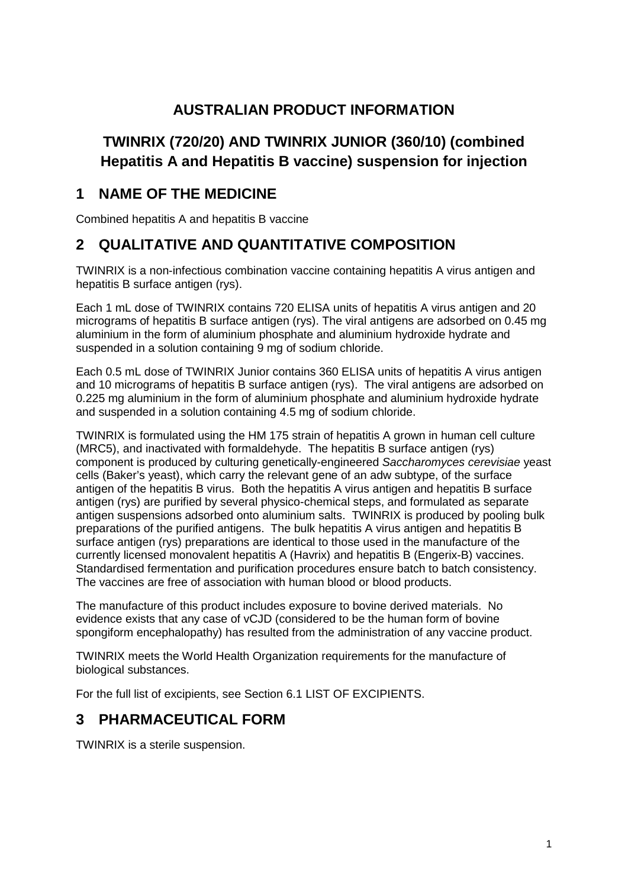## **AUSTRALIAN PRODUCT INFORMATION**

# **TWINRIX (720/20) AND TWINRIX JUNIOR (360/10) (combined Hepatitis A and Hepatitis B vaccine) suspension for injection**

## **1 NAME OF THE MEDICINE**

Combined hepatitis A and hepatitis B vaccine

## **2 QUALITATIVE AND QUANTITATIVE COMPOSITION**

TWINRIX is a non-infectious combination vaccine containing hepatitis A virus antigen and hepatitis B surface antigen (rys).

Each 1 mL dose of TWINRIX contains 720 ELISA units of hepatitis A virus antigen and 20 micrograms of hepatitis B surface antigen (rys). The viral antigens are adsorbed on 0.45 mg aluminium in the form of aluminium phosphate and aluminium hydroxide hydrate and suspended in a solution containing 9 mg of sodium chloride.

Each 0.5 mL dose of TWINRIX Junior contains 360 ELISA units of hepatitis A virus antigen and 10 micrograms of hepatitis B surface antigen (rys). The viral antigens are adsorbed on 0.225 mg aluminium in the form of aluminium phosphate and aluminium hydroxide hydrate and suspended in a solution containing 4.5 mg of sodium chloride.

TWINRIX is formulated using the HM 175 strain of hepatitis A grown in human cell culture (MRC5), and inactivated with formaldehyde. The hepatitis B surface antigen (rys) component is produced by culturing genetically-engineered *Saccharomyces cerevisiae* yeast cells (Baker's yeast), which carry the relevant gene of an adw subtype, of the surface antigen of the hepatitis B virus. Both the hepatitis A virus antigen and hepatitis B surface antigen (rys) are purified by several physico-chemical steps, and formulated as separate antigen suspensions adsorbed onto aluminium salts. TWINRIX is produced by pooling bulk preparations of the purified antigens. The bulk hepatitis A virus antigen and hepatitis B surface antigen (rys) preparations are identical to those used in the manufacture of the currently licensed monovalent hepatitis A (Havrix) and hepatitis B (Engerix-B) vaccines. Standardised fermentation and purification procedures ensure batch to batch consistency. The vaccines are free of association with human blood or blood products.

The manufacture of this product includes exposure to bovine derived materials. No evidence exists that any case of vCJD (considered to be the human form of bovine spongiform encephalopathy) has resulted from the administration of any vaccine product.

TWINRIX meets the World Health Organization requirements for the manufacture of biological substances.

For the full list of excipients, see Section 6.1 LIST OF EXCIPIENTS.

## **3 PHARMACEUTICAL FORM**

TWINRIX is a sterile suspension.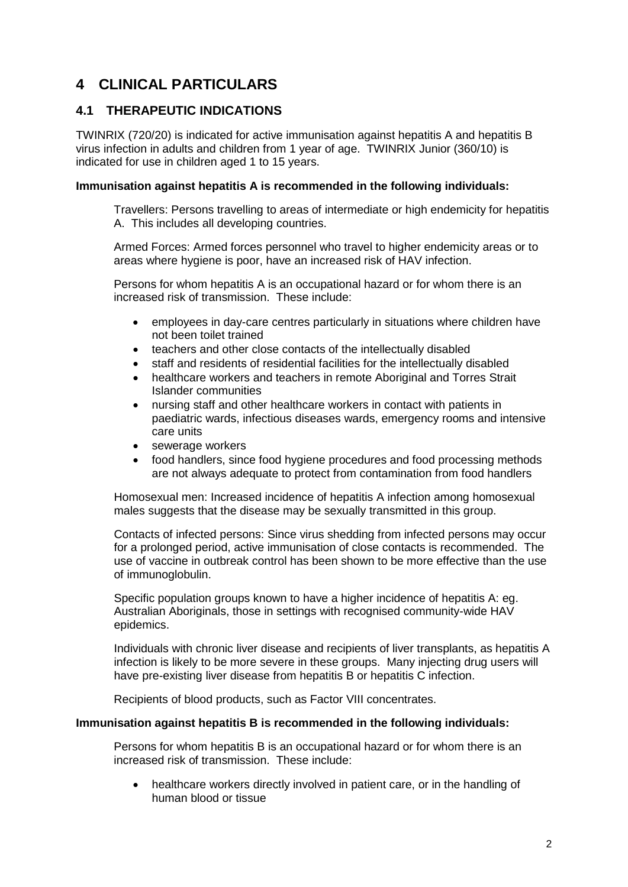## **4 CLINICAL PARTICULARS**

### **4.1 THERAPEUTIC INDICATIONS**

TWINRIX (720/20) is indicated for active immunisation against hepatitis A and hepatitis B virus infection in adults and children from 1 year of age. TWINRIX Junior (360/10) is indicated for use in children aged 1 to 15 years.

#### **Immunisation against hepatitis A is recommended in the following individuals:**

Travellers: Persons travelling to areas of intermediate or high endemicity for hepatitis A. This includes all developing countries.

Armed Forces: Armed forces personnel who travel to higher endemicity areas or to areas where hygiene is poor, have an increased risk of HAV infection.

Persons for whom hepatitis A is an occupational hazard or for whom there is an increased risk of transmission. These include:

- employees in day-care centres particularly in situations where children have not been toilet trained
- teachers and other close contacts of the intellectually disabled
- staff and residents of residential facilities for the intellectually disabled
- healthcare workers and teachers in remote Aboriginal and Torres Strait Islander communities
- nursing staff and other healthcare workers in contact with patients in paediatric wards, infectious diseases wards, emergency rooms and intensive care units
- sewerage workers
- food handlers, since food hygiene procedures and food processing methods are not always adequate to protect from contamination from food handlers

Homosexual men: Increased incidence of hepatitis A infection among homosexual males suggests that the disease may be sexually transmitted in this group.

Contacts of infected persons: Since virus shedding from infected persons may occur for a prolonged period, active immunisation of close contacts is recommended. The use of vaccine in outbreak control has been shown to be more effective than the use of immunoglobulin.

Specific population groups known to have a higher incidence of hepatitis A: eg. Australian Aboriginals, those in settings with recognised community-wide HAV epidemics.

Individuals with chronic liver disease and recipients of liver transplants, as hepatitis A infection is likely to be more severe in these groups. Many injecting drug users will have pre-existing liver disease from hepatitis B or hepatitis C infection.

Recipients of blood products, such as Factor VIII concentrates.

#### **Immunisation against hepatitis B is recommended in the following individuals:**

Persons for whom hepatitis B is an occupational hazard or for whom there is an increased risk of transmission. These include:

• healthcare workers directly involved in patient care, or in the handling of human blood or tissue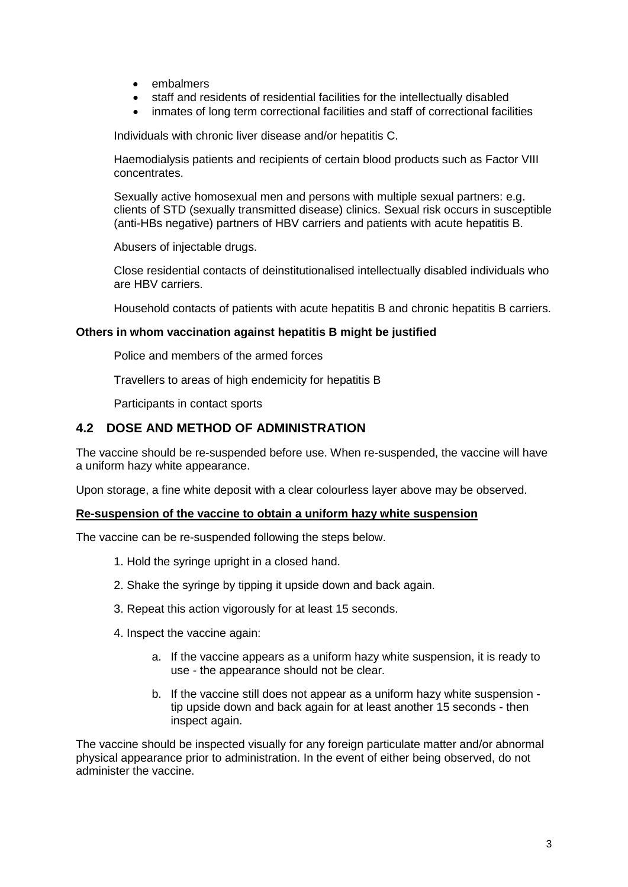- embalmers
- staff and residents of residential facilities for the intellectually disabled
- inmates of long term correctional facilities and staff of correctional facilities

Individuals with chronic liver disease and/or hepatitis C.

Haemodialysis patients and recipients of certain blood products such as Factor VIII concentrates.

Sexually active homosexual men and persons with multiple sexual partners: e.g. clients of STD (sexually transmitted disease) clinics. Sexual risk occurs in susceptible (anti-HBs negative) partners of HBV carriers and patients with acute hepatitis B.

Abusers of injectable drugs.

Close residential contacts of deinstitutionalised intellectually disabled individuals who are HBV carriers.

Household contacts of patients with acute hepatitis B and chronic hepatitis B carriers.

#### **Others in whom vaccination against hepatitis B might be justified**

Police and members of the armed forces

Travellers to areas of high endemicity for hepatitis B

Participants in contact sports

#### **4.2 DOSE AND METHOD OF ADMINISTRATION**

The vaccine should be re-suspended before use. When re-suspended, the vaccine will have a uniform hazy white appearance.

Upon storage, a fine white deposit with a clear colourless layer above may be observed.

#### **Re-suspension of the vaccine to obtain a uniform hazy white suspension**

The vaccine can be re-suspended following the steps below.

- 1. Hold the syringe upright in a closed hand.
- 2. Shake the syringe by tipping it upside down and back again.
- 3. Repeat this action vigorously for at least 15 seconds.
- 4. Inspect the vaccine again:
	- a. If the vaccine appears as a uniform hazy white suspension, it is ready to use - the appearance should not be clear.
	- b. If the vaccine still does not appear as a uniform hazy white suspension tip upside down and back again for at least another 15 seconds - then inspect again.

The vaccine should be inspected visually for any foreign particulate matter and/or abnormal physical appearance prior to administration. In the event of either being observed, do not administer the vaccine.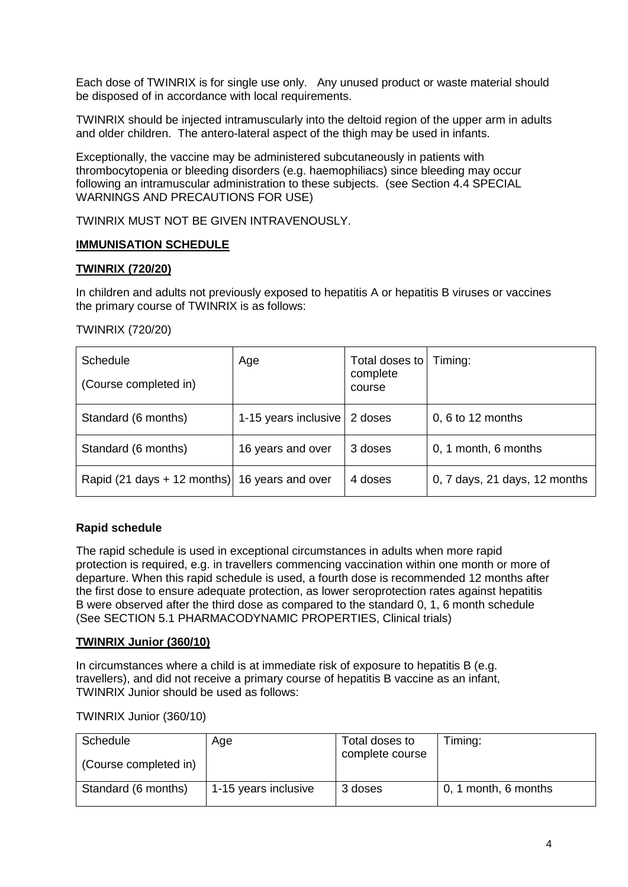Each dose of TWINRIX is for single use only. Any unused product or waste material should be disposed of in accordance with local requirements.

TWINRIX should be injected intramuscularly into the deltoid region of the upper arm in adults and older children. The antero-lateral aspect of the thigh may be used in infants.

Exceptionally, the vaccine may be administered subcutaneously in patients with thrombocytopenia or bleeding disorders (e.g. haemophiliacs) since bleeding may occur following an intramuscular administration to these subjects. (see Section 4.4 SPECIAL WARNINGS AND PRECAUTIONS FOR USE)

TWINRIX MUST NOT BE GIVEN INTRAVENOUSLY.

#### **IMMUNISATION SCHEDULE**

#### **TWINRIX (720/20)**

In children and adults not previously exposed to hepatitis A or hepatitis B viruses or vaccines the primary course of TWINRIX is as follows:

#### TWINRIX (720/20)

| Schedule<br>(Course completed in)             | Age                  | Total doses to<br>complete<br>course | Timing:                       |
|-----------------------------------------------|----------------------|--------------------------------------|-------------------------------|
| Standard (6 months)                           | 1-15 years inclusive | 2 doses                              | 0, 6 to 12 months             |
| Standard (6 months)                           | 16 years and over    | 3 doses                              | 0, 1 month, 6 months          |
| Rapid (21 days + 12 months) 16 years and over |                      | 4 doses                              | 0, 7 days, 21 days, 12 months |

#### **Rapid schedule**

The rapid schedule is used in exceptional circumstances in adults when more rapid protection is required, e.g. in travellers commencing vaccination within one month or more of departure. When this rapid schedule is used, a fourth dose is recommended 12 months after the first dose to ensure adequate protection, as lower seroprotection rates against hepatitis B were observed after the third dose as compared to the standard 0, 1, 6 month schedule (See SECTION 5.1 PHARMACODYNAMIC PROPERTIES, Clinical trials)

#### **TWINRIX Junior (360/10)**

In circumstances where a child is at immediate risk of exposure to hepatitis B (e.g. travellers), and did not receive a primary course of hepatitis B vaccine as an infant, TWINRIX Junior should be used as follows:

#### TWINRIX Junior (360/10)

| Schedule<br>(Course completed in) | Age                  | Total doses to<br>complete course | Timing:              |
|-----------------------------------|----------------------|-----------------------------------|----------------------|
| Standard (6 months)               | 1-15 years inclusive | 3 doses                           | 0, 1 month, 6 months |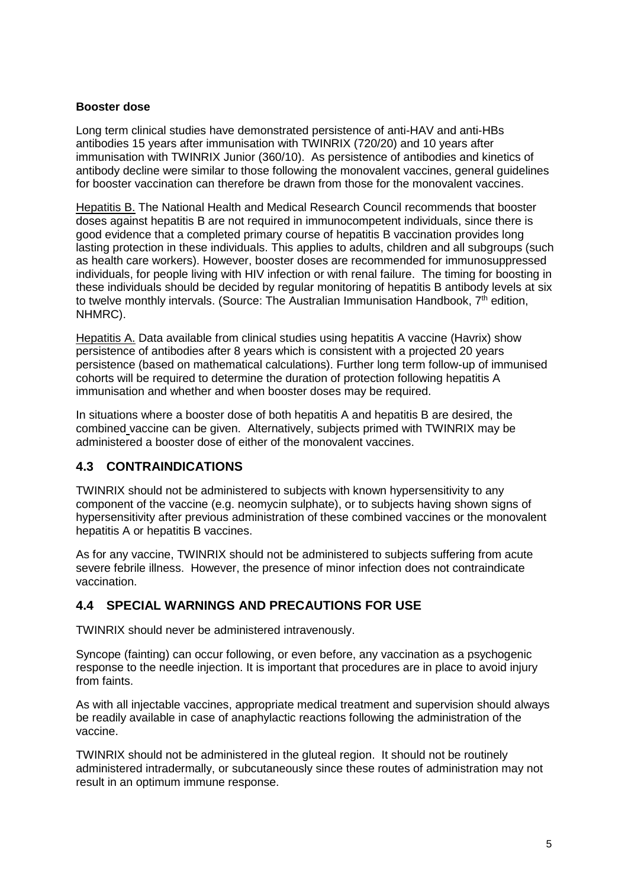#### **Booster dose**

Long term clinical studies have demonstrated persistence of anti-HAV and anti-HBs antibodies 15 years after immunisation with TWINRIX (720/20) and 10 years after immunisation with TWINRIX Junior (360/10). As persistence of antibodies and kinetics of antibody decline were similar to those following the monovalent vaccines, general guidelines for booster vaccination can therefore be drawn from those for the monovalent vaccines.

Hepatitis B. The National Health and Medical Research Council recommends that booster doses against hepatitis B are not required in immunocompetent individuals, since there is good evidence that a completed primary course of hepatitis B vaccination provides long lasting protection in these individuals. This applies to adults, children and all subgroups (such as health care workers). However, booster doses are recommended for immunosuppressed individuals, for people living with HIV infection or with renal failure. The timing for boosting in these individuals should be decided by regular monitoring of hepatitis B antibody levels at six to twelve monthly intervals. (Source: The Australian Immunisation Handbook, 7<sup>th</sup> edition, NHMRC).

Hepatitis A. Data available from clinical studies using hepatitis A vaccine (Havrix) show persistence of antibodies after 8 years which is consistent with a projected 20 years persistence (based on mathematical calculations). Further long term follow-up of immunised cohorts will be required to determine the duration of protection following hepatitis A immunisation and whether and when booster doses may be required.

In situations where a booster dose of both hepatitis A and hepatitis B are desired, the combined vaccine can be given. Alternatively, subjects primed with TWINRIX may be administered a booster dose of either of the monovalent vaccines.

### **4.3 CONTRAINDICATIONS**

TWINRIX should not be administered to subjects with known hypersensitivity to any component of the vaccine (e.g. neomycin sulphate), or to subjects having shown signs of hypersensitivity after previous administration of these combined vaccines or the monovalent hepatitis A or hepatitis B vaccines.

As for any vaccine, TWINRIX should not be administered to subjects suffering from acute severe febrile illness. However, the presence of minor infection does not contraindicate vaccination.

#### **4.4 SPECIAL WARNINGS AND PRECAUTIONS FOR USE**

TWINRIX should never be administered intravenously.

Syncope (fainting) can occur following, or even before, any vaccination as a psychogenic response to the needle injection. It is important that procedures are in place to avoid injury from faints.

As with all injectable vaccines, appropriate medical treatment and supervision should always be readily available in case of anaphylactic reactions following the administration of the vaccine.

TWINRIX should not be administered in the gluteal region. It should not be routinely administered intradermally, or subcutaneously since these routes of administration may not result in an optimum immune response.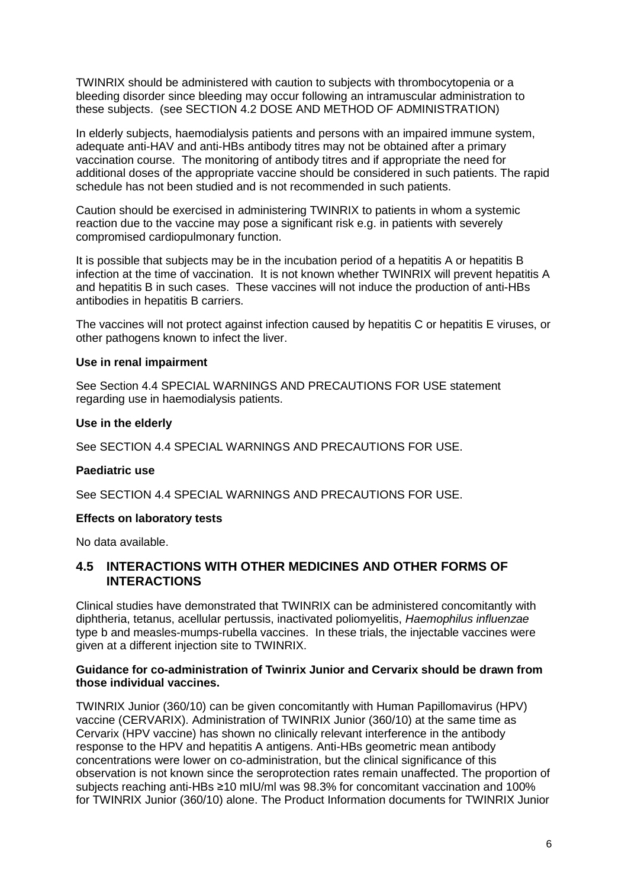TWINRIX should be administered with caution to subjects with thrombocytopenia or a bleeding disorder since bleeding may occur following an intramuscular administration to these subjects. (see SECTION 4.2 DOSE AND METHOD OF ADMINISTRATION)

In elderly subjects, haemodialysis patients and persons with an impaired immune system, adequate anti-HAV and anti-HBs antibody titres may not be obtained after a primary vaccination course. The monitoring of antibody titres and if appropriate the need for additional doses of the appropriate vaccine should be considered in such patients. The rapid schedule has not been studied and is not recommended in such patients.

Caution should be exercised in administering TWINRIX to patients in whom a systemic reaction due to the vaccine may pose a significant risk e.g. in patients with severely compromised cardiopulmonary function.

It is possible that subjects may be in the incubation period of a hepatitis A or hepatitis B infection at the time of vaccination. It is not known whether TWINRIX will prevent hepatitis A and hepatitis B in such cases. These vaccines will not induce the production of anti-HBs antibodies in hepatitis B carriers.

The vaccines will not protect against infection caused by hepatitis C or hepatitis E viruses, or other pathogens known to infect the liver.

#### **Use in renal impairment**

See Section 4.4 SPECIAL WARNINGS AND PRECAUTIONS FOR USE statement regarding use in haemodialysis patients.

#### **Use in the elderly**

See SECTION 4.4 SPECIAL WARNINGS AND PRECAUTIONS FOR USE.

#### **Paediatric use**

See SECTION 4.4 SPECIAL WARNINGS AND PRECAUTIONS FOR USE.

#### **Effects on laboratory tests**

No data available.

#### **4.5 INTERACTIONS WITH OTHER MEDICINES AND OTHER FORMS OF INTERACTIONS**

Clinical studies have demonstrated that TWINRIX can be administered concomitantly with diphtheria, tetanus, acellular pertussis, inactivated poliomyelitis, *Haemophilus influenzae* type b and measles-mumps-rubella vaccines. In these trials, the injectable vaccines were given at a different injection site to TWINRIX.

#### **Guidance for co-administration of Twinrix Junior and Cervarix should be drawn from those individual vaccines.**

TWINRIX Junior (360/10) can be given concomitantly with Human Papillomavirus (HPV) vaccine (CERVARIX). Administration of TWINRIX Junior (360/10) at the same time as Cervarix (HPV vaccine) has shown no clinically relevant interference in the antibody response to the HPV and hepatitis A antigens. Anti-HBs geometric mean antibody concentrations were lower on co-administration, but the clinical significance of this observation is not known since the seroprotection rates remain unaffected. The proportion of subjects reaching anti-HBs ≥10 mIU/ml was 98.3% for concomitant vaccination and 100% for TWINRIX Junior (360/10) alone. The Product Information documents for TWINRIX Junior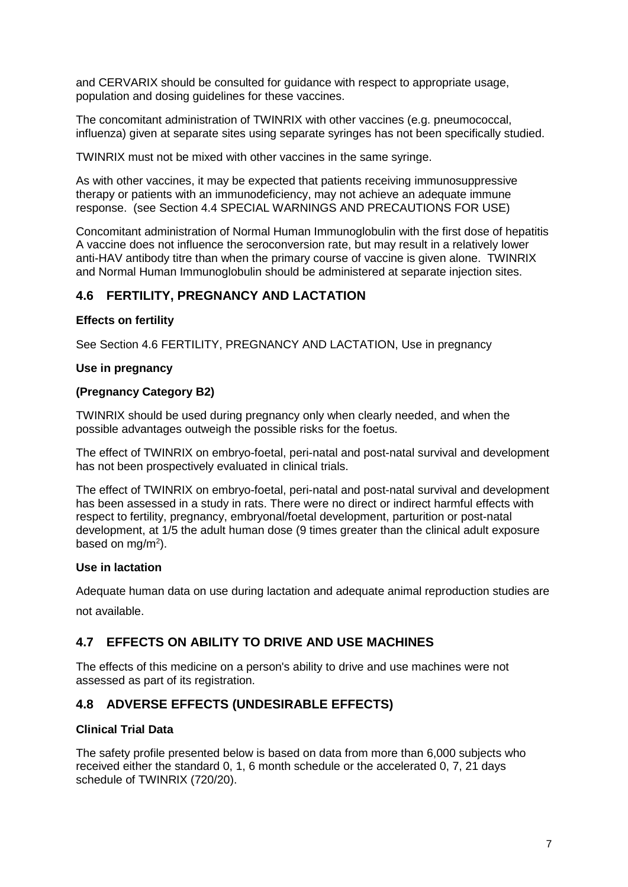and CERVARIX should be consulted for guidance with respect to appropriate usage, population and dosing guidelines for these vaccines.

The concomitant administration of TWINRIX with other vaccines (e.g. pneumococcal, influenza) given at separate sites using separate syringes has not been specifically studied.

TWINRIX must not be mixed with other vaccines in the same syringe.

As with other vaccines, it may be expected that patients receiving immunosuppressive therapy or patients with an immunodeficiency, may not achieve an adequate immune response. (see Section 4.4 SPECIAL WARNINGS AND PRECAUTIONS FOR USE)

Concomitant administration of Normal Human Immunoglobulin with the first dose of hepatitis A vaccine does not influence the seroconversion rate, but may result in a relatively lower anti-HAV antibody titre than when the primary course of vaccine is given alone. TWINRIX and Normal Human Immunoglobulin should be administered at separate injection sites.

### **4.6 FERTILITY, PREGNANCY AND LACTATION**

#### **Effects on fertility**

See Section 4.6 FERTILITY, PREGNANCY AND LACTATION, Use in pregnancy

#### **Use in pregnancy**

#### **(Pregnancy Category B2)**

TWINRIX should be used during pregnancy only when clearly needed, and when the possible advantages outweigh the possible risks for the foetus.

The effect of TWINRIX on embryo-foetal, peri-natal and post-natal survival and development has not been prospectively evaluated in clinical trials.

The effect of TWINRIX on embryo-foetal, peri-natal and post-natal survival and development has been assessed in a study in rats. There were no direct or indirect harmful effects with respect to fertility, pregnancy, embryonal/foetal development, parturition or post-natal development, at 1/5 the adult human dose (9 times greater than the clinical adult exposure based on mg/m<sup>2</sup>).

#### **Use in lactation**

Adequate human data on use during lactation and adequate animal reproduction studies are not available.

#### **4.7 EFFECTS ON ABILITY TO DRIVE AND USE MACHINES**

The effects of this medicine on a person's ability to drive and use machines were not assessed as part of its registration.

#### **4.8 ADVERSE EFFECTS (UNDESIRABLE EFFECTS)**

#### **Clinical Trial Data**

The safety profile presented below is based on data from more than 6,000 subjects who received either the standard 0, 1, 6 month schedule or the accelerated 0, 7, 21 days schedule of TWINRIX (720/20).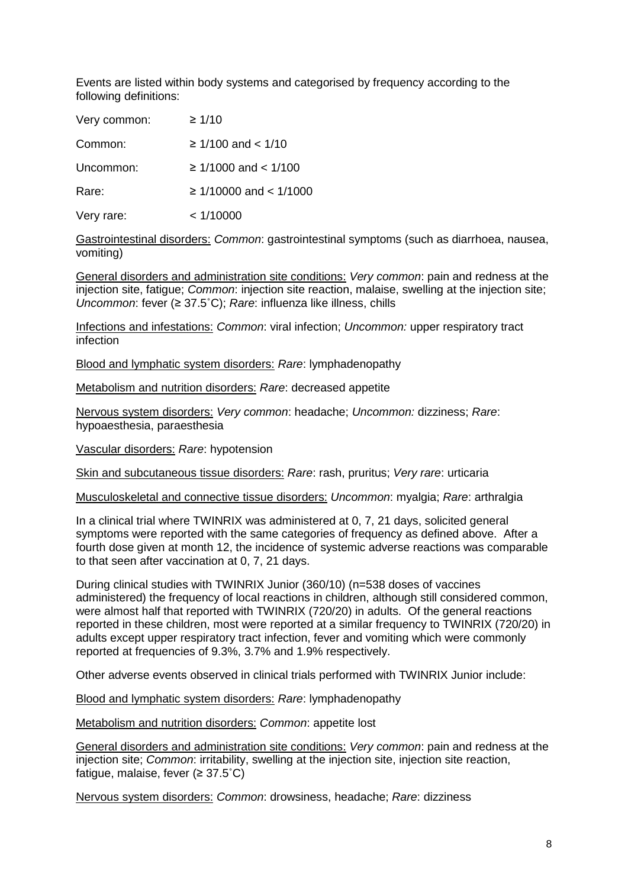Events are listed within body systems and categorised by frequency according to the following definitions:

| Very common: | $\geq 1/10$                 |
|--------------|-----------------------------|
| Common:      | $\geq 1/100$ and $< 1/10$   |
| Uncommon:    | $\geq$ 1/1000 and < 1/100   |
| Rare:        | $\geq$ 1/10000 and < 1/1000 |
| Very rare:   | < 1/10000                   |

Gastrointestinal disorders: *Common*: gastrointestinal symptoms (such as diarrhoea, nausea, vomiting)

General disorders and administration site conditions: *Very common*: pain and redness at the injection site, fatigue; *Common*: injection site reaction, malaise, swelling at the injection site; *Uncommon*: fever (≥ 37.5˚C); *Rare*: influenza like illness, chills

Infections and infestations: *Common*: viral infection; *Uncommon:* upper respiratory tract **infection** 

Blood and lymphatic system disorders: *Rare*: lymphadenopathy

Metabolism and nutrition disorders: *Rare*: decreased appetite

Nervous system disorders: *Very common*: headache; *Uncommon:* dizziness; *Rare*: hypoaesthesia, paraesthesia

Vascular disorders: *Rare*: hypotension

Skin and subcutaneous tissue disorders: *Rare*: rash, pruritus; *Very rare*: urticaria

Musculoskeletal and connective tissue disorders: *Uncommon*: myalgia; *Rare*: arthralgia

In a clinical trial where TWINRIX was administered at 0, 7, 21 days, solicited general symptoms were reported with the same categories of frequency as defined above. After a fourth dose given at month 12, the incidence of systemic adverse reactions was comparable to that seen after vaccination at 0, 7, 21 days.

During clinical studies with TWINRIX Junior (360/10) (n=538 doses of vaccines administered) the frequency of local reactions in children, although still considered common, were almost half that reported with TWINRIX (720/20) in adults. Of the general reactions reported in these children, most were reported at a similar frequency to TWINRIX (720/20) in adults except upper respiratory tract infection, fever and vomiting which were commonly reported at frequencies of 9.3%, 3.7% and 1.9% respectively.

Other adverse events observed in clinical trials performed with TWINRIX Junior include:

Blood and lymphatic system disorders: *Rare*: lymphadenopathy

Metabolism and nutrition disorders: *Common*: appetite lost

General disorders and administration site conditions: *Very common*: pain and redness at the injection site; *Common*: irritability, swelling at the injection site, injection site reaction, fatigue, malaise, fever  $(≥ 37.5°C)$ 

Nervous system disorders: *Common*: drowsiness, headache; *Rare*: dizziness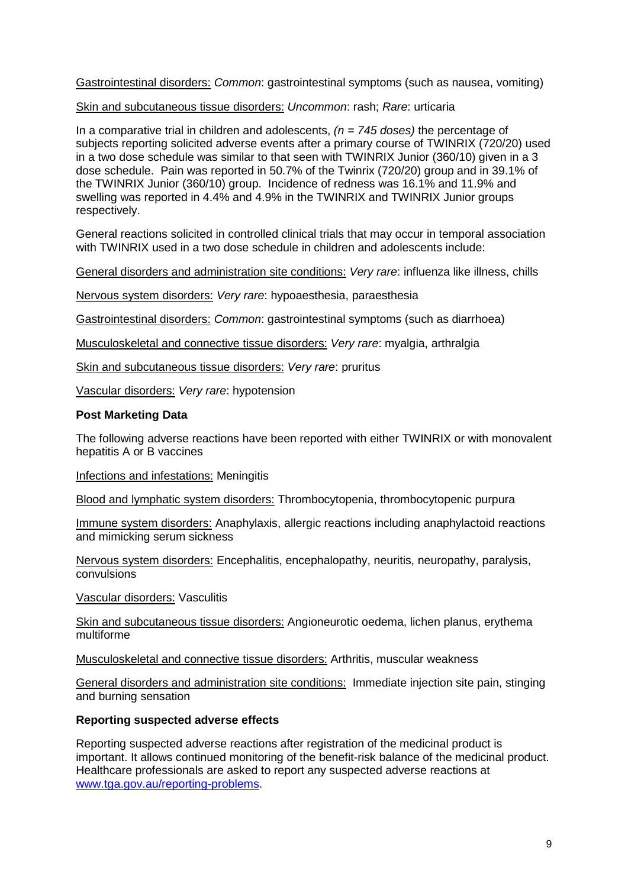Gastrointestinal disorders: *Common*: gastrointestinal symptoms (such as nausea, vomiting)

Skin and subcutaneous tissue disorders: *Uncommon*: rash; *Rare*: urticaria

In a comparative trial in children and adolescents, *(n = 745 doses)* the percentage of subjects reporting solicited adverse events after a primary course of TWINRIX (720/20) used in a two dose schedule was similar to that seen with TWINRIX Junior (360/10) given in a 3 dose schedule. Pain was reported in 50.7% of the Twinrix (720/20) group and in 39.1% of the TWINRIX Junior (360/10) group. Incidence of redness was 16.1% and 11.9% and swelling was reported in 4.4% and 4.9% in the TWINRIX and TWINRIX Junior groups respectively.

General reactions solicited in controlled clinical trials that may occur in temporal association with TWINRIX used in a two dose schedule in children and adolescents include:

General disorders and administration site conditions: *Very rare*: influenza like illness, chills

Nervous system disorders: *Very rare*: hypoaesthesia, paraesthesia

Gastrointestinal disorders: *Common*: gastrointestinal symptoms (such as diarrhoea)

Musculoskeletal and connective tissue disorders: *Very rare*: myalgia, arthralgia

Skin and subcutaneous tissue disorders: *Very rare*: pruritus

Vascular disorders: *Very rare*: hypotension

#### **Post Marketing Data**

The following adverse reactions have been reported with either TWINRIX or with monovalent hepatitis A or B vaccines

Infections and infestations: Meningitis

Blood and lymphatic system disorders: Thrombocytopenia, thrombocytopenic purpura

Immune system disorders: Anaphylaxis, allergic reactions including anaphylactoid reactions and mimicking serum sickness

Nervous system disorders: Encephalitis, encephalopathy, neuritis, neuropathy, paralysis, convulsions

Vascular disorders: Vasculitis

Skin and subcutaneous tissue disorders: Angioneurotic oedema, lichen planus, erythema multiforme

Musculoskeletal and connective tissue disorders: Arthritis, muscular weakness

General disorders and administration site conditions: Immediate injection site pain, stinging and burning sensation

#### **Reporting suspected adverse effects**

Reporting suspected adverse reactions after registration of the medicinal product is important. It allows continued monitoring of the benefit-risk balance of the medicinal product. Healthcare professionals are asked to report any suspected adverse reactions at [www.tga.gov.au/reporting-problems.](http://www.tga.gov.au/reporting-problems)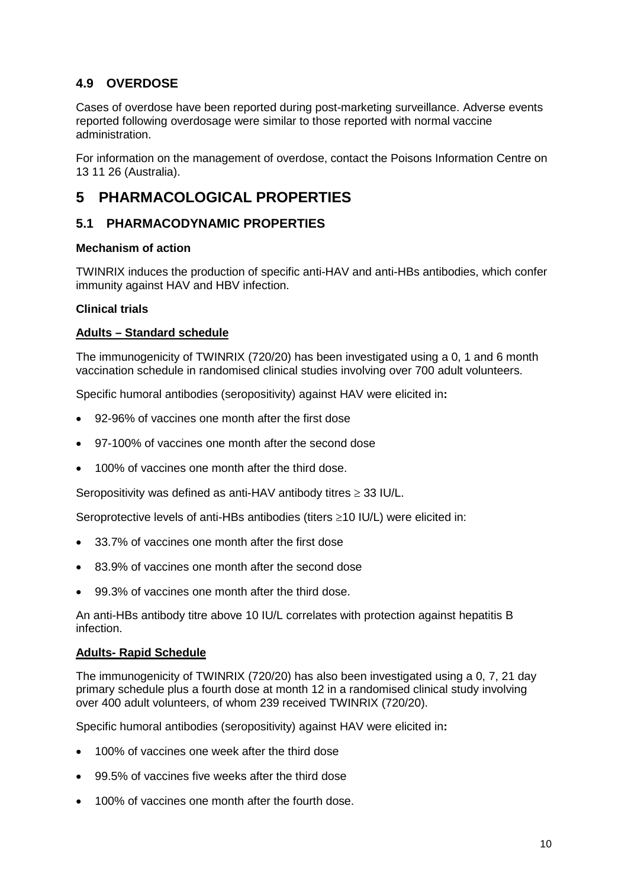### **4.9 OVERDOSE**

Cases of overdose have been reported during post-marketing surveillance. Adverse events reported following overdosage were similar to those reported with normal vaccine administration.

For information on the management of overdose, contact the Poisons Information Centre on 13 11 26 (Australia).

## **5 PHARMACOLOGICAL PROPERTIES**

### **5.1 PHARMACODYNAMIC PROPERTIES**

#### **Mechanism of action**

TWINRIX induces the production of specific anti-HAV and anti-HBs antibodies, which confer immunity against HAV and HBV infection.

#### **Clinical trials**

#### **Adults – Standard schedule**

The immunogenicity of TWINRIX (720/20) has been investigated using a 0, 1 and 6 month vaccination schedule in randomised clinical studies involving over 700 adult volunteers.

Specific humoral antibodies (seropositivity) against HAV were elicited in**:**

- 92-96% of vaccines one month after the first dose
- 97-100% of vaccines one month after the second dose
- 100% of vaccines one month after the third dose.

Seropositivity was defined as anti-HAV antibody titres ≥ 33 IU/L.

Seroprotective levels of anti-HBs antibodies (titers ≥10 IU/L) were elicited in:

- 33.7% of vaccines one month after the first dose
- 83.9% of vaccines one month after the second dose
- 99.3% of vaccines one month after the third dose.

An anti-HBs antibody titre above 10 IU/L correlates with protection against hepatitis B infection.

#### **Adults- Rapid Schedule**

The immunogenicity of TWINRIX (720/20) has also been investigated using a 0, 7, 21 day primary schedule plus a fourth dose at month 12 in a randomised clinical study involving over 400 adult volunteers, of whom 239 received TWINRIX (720/20).

Specific humoral antibodies (seropositivity) against HAV were elicited in**:**

- 100% of vaccines one week after the third dose
- 99.5% of vaccines five weeks after the third dose
- 100% of vaccines one month after the fourth dose.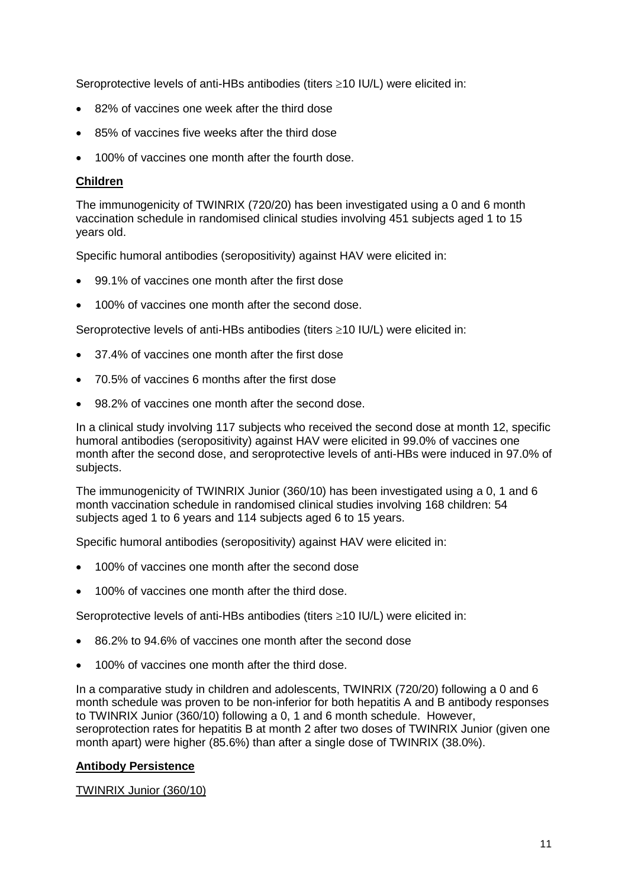Seroprotective levels of anti-HBs antibodies (titers ≥10 IU/L) were elicited in:

- 82% of vaccines one week after the third dose
- 85% of vaccines five weeks after the third dose
- 100% of vaccines one month after the fourth dose.

#### **Children**

The immunogenicity of TWINRIX (720/20) has been investigated using a 0 and 6 month vaccination schedule in randomised clinical studies involving 451 subjects aged 1 to 15 years old.

Specific humoral antibodies (seropositivity) against HAV were elicited in:

- 99.1% of vaccines one month after the first dose
- 100% of vaccines one month after the second dose.

Seroprotective levels of anti-HBs antibodies (titers ≥10 IU/L) were elicited in:

- 37.4% of vaccines one month after the first dose
- 70.5% of vaccines 6 months after the first dose
- 98.2% of vaccines one month after the second dose.

In a clinical study involving 117 subjects who received the second dose at month 12, specific humoral antibodies (seropositivity) against HAV were elicited in 99.0% of vaccines one month after the second dose, and seroprotective levels of anti-HBs were induced in 97.0% of subjects.

The immunogenicity of TWINRIX Junior (360/10) has been investigated using a 0, 1 and 6 month vaccination schedule in randomised clinical studies involving 168 children: 54 subjects aged 1 to 6 years and 114 subjects aged 6 to 15 years.

Specific humoral antibodies (seropositivity) against HAV were elicited in:

- 100% of vaccines one month after the second dose
- 100% of vaccines one month after the third dose.

Seroprotective levels of anti-HBs antibodies (titers ≥10 IU/L) were elicited in:

- 86.2% to 94.6% of vaccines one month after the second dose
- 100% of vaccines one month after the third dose.

In a comparative study in children and adolescents, TWINRIX (720/20) following a 0 and 6 month schedule was proven to be non-inferior for both hepatitis A and B antibody responses to TWINRIX Junior (360/10) following a 0, 1 and 6 month schedule. However, seroprotection rates for hepatitis B at month 2 after two doses of TWINRIX Junior (given one month apart) were higher (85.6%) than after a single dose of TWINRIX (38.0%).

#### **Antibody Persistence**

#### TWINRIX Junior (360/10)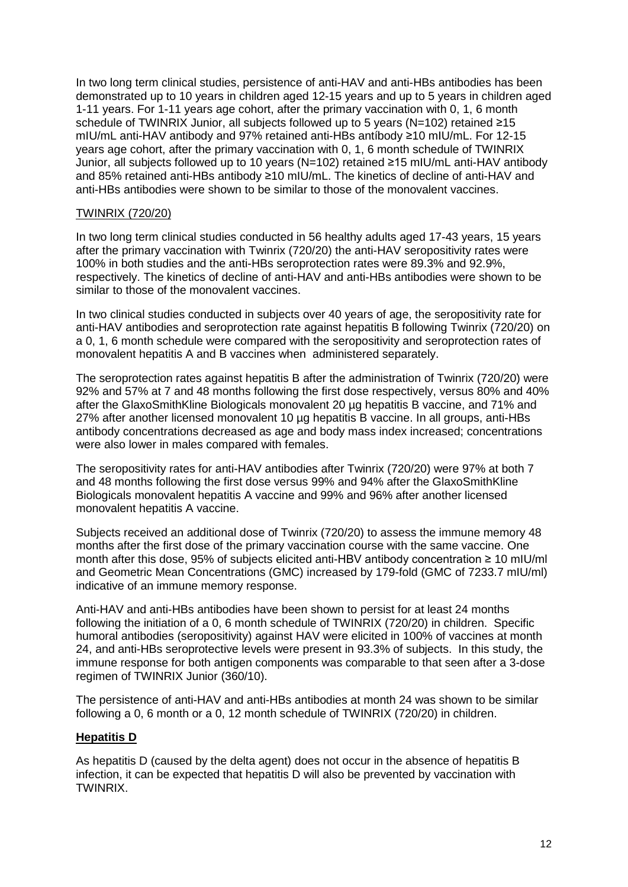In two long term clinical studies, persistence of anti-HAV and anti-HBs antibodies has been demonstrated up to 10 years in children aged 12-15 years and up to 5 years in children aged 1-11 years. For 1-11 years age cohort, after the primary vaccination with 0, 1, 6 month schedule of TWINRIX Junior, all subjects followed up to 5 years (N=102) retained ≥15 mIU/mL anti-HAV antibody and 97% retained anti-HBs antíbody ≥10 mIU/mL. For 12-15 years age cohort, after the primary vaccination with 0, 1, 6 month schedule of TWINRIX Junior, all subjects followed up to 10 years (N=102) retained ≥15 mIU/mL anti-HAV antibody and 85% retained anti-HBs antibody ≥10 mIU/mL. The kinetics of decline of anti-HAV and anti-HBs antibodies were shown to be similar to those of the monovalent vaccines.

#### TWINRIX (720/20)

In two long term clinical studies conducted in 56 healthy adults aged 17-43 years, 15 years after the primary vaccination with Twinrix (720/20) the anti-HAV seropositivity rates were 100% in both studies and the anti-HBs seroprotection rates were 89.3% and 92.9%, respectively. The kinetics of decline of anti-HAV and anti-HBs antibodies were shown to be similar to those of the monovalent vaccines.

In two clinical studies conducted in subjects over 40 years of age, the seropositivity rate for anti-HAV antibodies and seroprotection rate against hepatitis B following Twinrix (720/20) on a 0, 1, 6 month schedule were compared with the seropositivity and seroprotection rates of monovalent hepatitis A and B vaccines when administered separately.

The seroprotection rates against hepatitis B after the administration of Twinrix (720/20) were 92% and 57% at 7 and 48 months following the first dose respectively, versus 80% and 40% after the GlaxoSmithKline Biologicals monovalent 20 µg hepatitis B vaccine, and 71% and 27% after another licensed monovalent 10 µg hepatitis B vaccine. In all groups, anti-HBs antibody concentrations decreased as age and body mass index increased; concentrations were also lower in males compared with females.

The seropositivity rates for anti-HAV antibodies after Twinrix (720/20) were 97% at both 7 and 48 months following the first dose versus 99% and 94% after the GlaxoSmithKline Biologicals monovalent hepatitis A vaccine and 99% and 96% after another licensed monovalent hepatitis A vaccine.

Subjects received an additional dose of Twinrix (720/20) to assess the immune memory 48 months after the first dose of the primary vaccination course with the same vaccine. One month after this dose, 95% of subjects elicited anti-HBV antibody concentration ≥ 10 mIU/ml and Geometric Mean Concentrations (GMC) increased by 179-fold (GMC of 7233.7 mIU/ml) indicative of an immune memory response.

Anti-HAV and anti-HBs antibodies have been shown to persist for at least 24 months following the initiation of a 0, 6 month schedule of TWINRIX (720/20) in children. Specific humoral antibodies (seropositivity) against HAV were elicited in 100% of vaccines at month 24, and anti-HBs seroprotective levels were present in 93.3% of subjects. In this study, the immune response for both antigen components was comparable to that seen after a 3-dose regimen of TWINRIX Junior (360/10).

The persistence of anti-HAV and anti-HBs antibodies at month 24 was shown to be similar following a 0, 6 month or a 0, 12 month schedule of TWINRIX (720/20) in children.

#### **Hepatitis D**

As hepatitis D (caused by the delta agent) does not occur in the absence of hepatitis B infection, it can be expected that hepatitis D will also be prevented by vaccination with TWINRIX.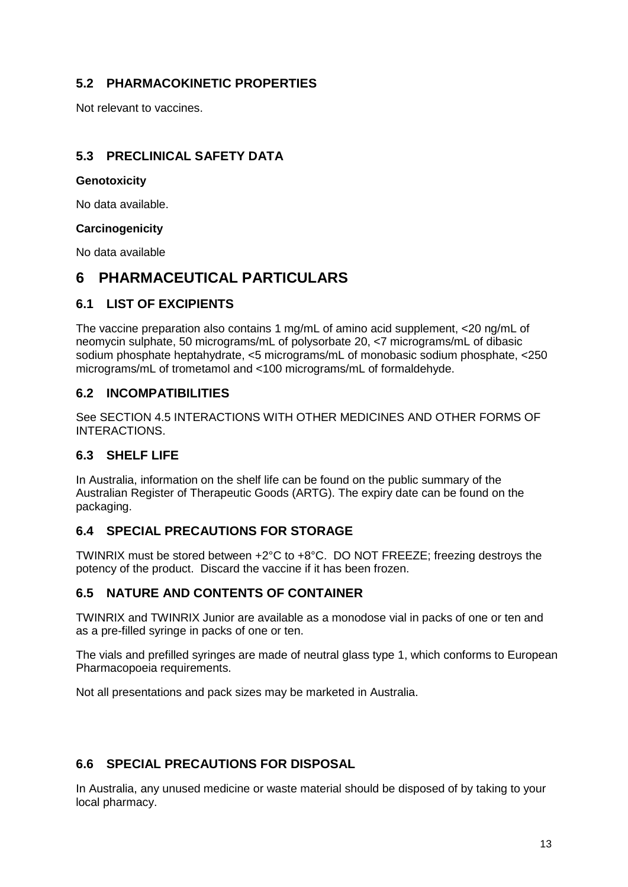### **5.2 PHARMACOKINETIC PROPERTIES**

Not relevant to vaccines.

### **5.3 PRECLINICAL SAFETY DATA**

#### **Genotoxicity**

No data available.

#### **Carcinogenicity**

No data available

## **6 PHARMACEUTICAL PARTICULARS**

#### **6.1 LIST OF EXCIPIENTS**

The vaccine preparation also contains 1 mg/mL of amino acid supplement, <20 ng/mL of neomycin sulphate, 50 micrograms/mL of polysorbate 20, <7 micrograms/mL of dibasic sodium phosphate heptahydrate, <5 micrograms/mL of monobasic sodium phosphate, <250 micrograms/mL of trometamol and <100 micrograms/mL of formaldehyde.

#### **6.2 INCOMPATIBILITIES**

See SECTION 4.5 INTERACTIONS WITH OTHER MEDICINES AND OTHER FORMS OF INTERACTIONS.

#### **6.3 SHELF LIFE**

In Australia, information on the shelf life can be found on the public summary of the Australian Register of Therapeutic Goods (ARTG). The expiry date can be found on the packaging.

#### **6.4 SPECIAL PRECAUTIONS FOR STORAGE**

TWINRIX must be stored between +2°C to +8°C. DO NOT FREEZE; freezing destroys the potency of the product. Discard the vaccine if it has been frozen.

#### **6.5 NATURE AND CONTENTS OF CONTAINER**

TWINRIX and TWINRIX Junior are available as a monodose vial in packs of one or ten and as a pre-filled syringe in packs of one or ten.

The vials and prefilled syringes are made of neutral glass type 1, which conforms to European Pharmacopoeia requirements.

Not all presentations and pack sizes may be marketed in Australia.

### **6.6 SPECIAL PRECAUTIONS FOR DISPOSAL**

In Australia, any unused medicine or waste material should be disposed of by taking to your local pharmacy.